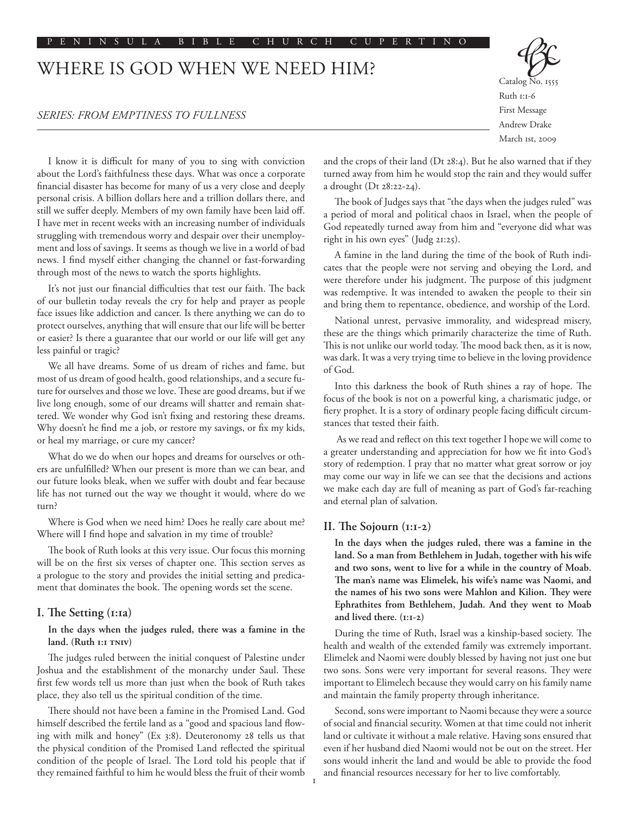# WHERE IS GOD WHEN WE NEED HIM?

## *SERIES: FROM EMPTINESS TO FULLNESS*



Ruth 1:1-6 First Message Andrew Drake March 1st, 2009

I know it is difficult for many of you to sing with conviction about the Lord's faithfulness these days. What was once a corporate financial disaster has become for many of us a very close and deeply personal crisis. A billion dollars here and a trillion dollars there, and still we suffer deeply. Members of my own family have been laid off. I have met in recent weeks with an increasing number of individuals struggling with tremendous worry and despair over their unemployment and loss of savings. It seems as though we live in a world of bad news. I find myself either changing the channel or fast-forwarding through most of the news to watch the sports highlights.

It's not just our financial difficulties that test our faith. The back of our bulletin today reveals the cry for help and prayer as people face issues like addiction and cancer. Is there anything we can do to protect ourselves, anything that will ensure that our life will be better or easier? Is there a guarantee that our world or our life will get any less painful or tragic?

We all have dreams. Some of us dream of riches and fame, but most of us dream of good health, good relationships, and a secure future for ourselves and those we love. These are good dreams, but if we live long enough, some of our dreams will shatter and remain shattered. We wonder why God isn't fixing and restoring these dreams. Why doesn't he find me a job, or restore my savings, or fix my kids, or heal my marriage, or cure my cancer?

What do we do when our hopes and dreams for ourselves or others are unfulfilled? When our present is more than we can bear, and our future looks bleak, when we suffer with doubt and fear because life has not turned out the way we thought it would, where do we turn?

Where is God when we need him? Does he really care about me? Where will I find hope and salvation in my time of trouble?

The book of Ruth looks at this very issue. Our focus this morning will be on the first six verses of chapter one. This section serves as a prologue to the story and provides the initial setting and predicament that dominates the book. The opening words set the scene.

#### **I. The Setting (1:1a)**

### **In the days when the judges ruled, there was a famine in the land. (Ruth 1:1 TNIV)**

The judges ruled between the initial conquest of Palestine under Joshua and the establishment of the monarchy under Saul. These first few words tell us more than just when the book of Ruth takes place, they also tell us the spiritual condition of the time.

There should not have been a famine in the Promised Land. God himself described the fertile land as a "good and spacious land flowing with milk and honey" (Ex 3:8). Deuteronomy 28 tells us that the physical condition of the Promised Land reflected the spiritual condition of the people of Israel. The Lord told his people that if they remained faithful to him he would bless the fruit of their womb

and the crops of their land (Dt 28:4). But he also warned that if they turned away from him he would stop the rain and they would suffer a drought (Dt 28:22-24).

The book of Judges says that "the days when the judges ruled" was a period of moral and political chaos in Israel, when the people of God repeatedly turned away from him and "everyone did what was right in his own eyes" (Judg 21:25).

A famine in the land during the time of the book of Ruth indicates that the people were not serving and obeying the Lord, and were therefore under his judgment. The purpose of this judgment was redemptive. It was intended to awaken the people to their sin and bring them to repentance, obedience, and worship of the Lord.

National unrest, pervasive immorality, and widespread misery, these are the things which primarily characterize the time of Ruth. This is not unlike our world today. The mood back then, as it is now, was dark. It was a very trying time to believe in the loving providence of God.

Into this darkness the book of Ruth shines a ray of hope. The focus of the book is not on a powerful king, a charismatic judge, or fiery prophet. It is a story of ordinary people facing difficult circumstances that tested their faith.

 As we read and reflect on this text together I hope we will come to a greater understanding and appreciation for how we fit into God's story of redemption. I pray that no matter what great sorrow or joy may come our way in life we can see that the decisions and actions we make each day are full of meaning as part of God's far-reaching and eternal plan of salvation.

#### **II. The Sojourn (1:1-2)**

**In the days when the judges ruled, there was a famine in the land. So a man from Bethlehem in Judah, together with his wife and two sons, went to live for a while in the country of Moab. The man's name was Elimelek, his wife's name was Naomi, and the names of his two sons were Mahlon and Kilion. They were Ephrathites from Bethlehem, Judah. And they went to Moab and lived there. (1:1-2)**

During the time of Ruth, Israel was a kinship-based society. The health and wealth of the extended family was extremely important. Elimelek and Naomi were doubly blessed by having not just one but two sons. Sons were very important for several reasons. They were important to Elimelech because they would carry on his family name and maintain the family property through inheritance.

Second, sons were important to Naomi because they were a source of social and financial security. Women at that time could not inherit land or cultivate it without a male relative. Having sons ensured that even if her husband died Naomi would not be out on the street. Her sons would inherit the land and would be able to provide the food and financial resources necessary for her to live comfortably.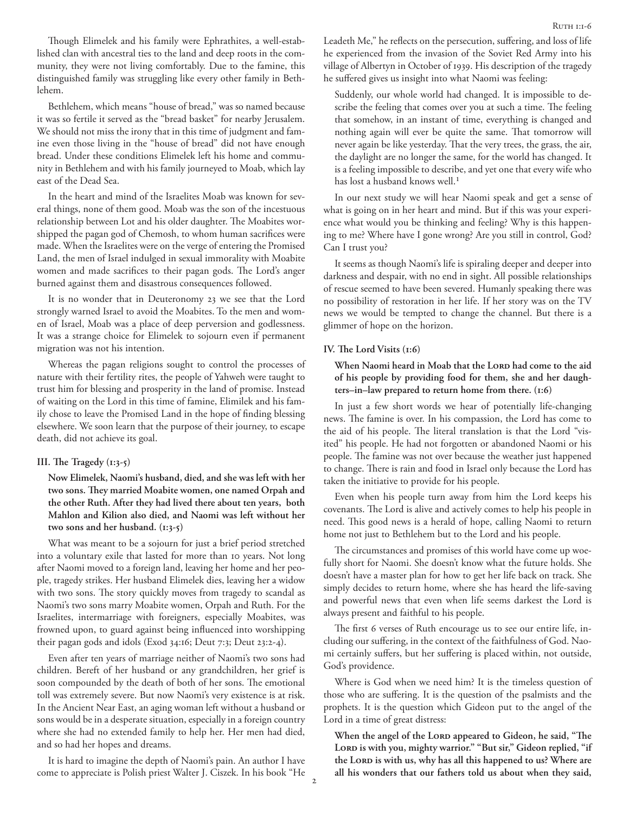Though Elimelek and his family were Ephrathites, a well-established clan with ancestral ties to the land and deep roots in the community, they were not living comfortably. Due to the famine, this distinguished family was struggling like every other family in Bethlehem.

Bethlehem, which means "house of bread," was so named because it was so fertile it served as the "bread basket" for nearby Jerusalem. We should not miss the irony that in this time of judgment and famine even those living in the "house of bread" did not have enough bread. Under these conditions Elimelek left his home and community in Bethlehem and with his family journeyed to Moab, which lay east of the Dead Sea.

In the heart and mind of the Israelites Moab was known for several things, none of them good. Moab was the son of the incestuous relationship between Lot and his older daughter. The Moabites worshipped the pagan god of Chemosh, to whom human sacrifices were made. When the Israelites were on the verge of entering the Promised Land, the men of Israel indulged in sexual immorality with Moabite women and made sacrifices to their pagan gods. The Lord's anger burned against them and disastrous consequences followed.

It is no wonder that in Deuteronomy 23 we see that the Lord strongly warned Israel to avoid the Moabites. To the men and women of Israel, Moab was a place of deep perversion and godlessness. It was a strange choice for Elimelek to sojourn even if permanent migration was not his intention.

Whereas the pagan religions sought to control the processes of nature with their fertility rites, the people of Yahweh were taught to trust him for blessing and prosperity in the land of promise. Instead of waiting on the Lord in this time of famine, Elimilek and his family chose to leave the Promised Land in the hope of finding blessing elsewhere. We soon learn that the purpose of their journey, to escape death, did not achieve its goal.

#### **III. The Tragedy (1:3-5)**

**Now Elimelek, Naomi's husband, died, and she was left with her two sons. They married Moabite women, one named Orpah and the other Ruth. After they had lived there about ten years, both Mahlon and Kilion also died, and Naomi was left without her two sons and her husband. (1:3-5)**

What was meant to be a sojourn for just a brief period stretched into a voluntary exile that lasted for more than 10 years. Not long after Naomi moved to a foreign land, leaving her home and her people, tragedy strikes. Her husband Elimelek dies, leaving her a widow with two sons. The story quickly moves from tragedy to scandal as Naomi's two sons marry Moabite women, Orpah and Ruth. For the Israelites, intermarriage with foreigners, especially Moabites, was frowned upon, to guard against being influenced into worshipping their pagan gods and idols (Exod 34:16; Deut 7:3; Deut 23:2-4).

Even after ten years of marriage neither of Naomi's two sons had children. Bereft of her husband or any grandchildren, her grief is soon compounded by the death of both of her sons. The emotional toll was extremely severe. But now Naomi's very existence is at risk. In the Ancient Near East, an aging woman left without a husband or sons would be in a desperate situation, especially in a foreign country where she had no extended family to help her. Her men had died, and so had her hopes and dreams.

It is hard to imagine the depth of Naomi's pain. An author I have come to appreciate is Polish priest Walter J. Ciszek. In his book "He Leadeth Me," he reflects on the persecution, suffering, and loss of life he experienced from the invasion of the Soviet Red Army into his village of Albertyn in October of 1939. His description of the tragedy he suffered gives us insight into what Naomi was feeling:

Suddenly, our whole world had changed. It is impossible to describe the feeling that comes over you at such a time. The feeling that somehow, in an instant of time, everything is changed and nothing again will ever be quite the same. That tomorrow will never again be like yesterday. That the very trees, the grass, the air, the daylight are no longer the same, for the world has changed. It is a feeling impossible to describe, and yet one that every wife who has lost a husband knows well.<sup>1</sup>

In our next study we will hear Naomi speak and get a sense of what is going on in her heart and mind. But if this was your experience what would you be thinking and feeling? Why is this happening to me? Where have I gone wrong? Are you still in control, God? Can I trust you?

It seems as though Naomi's life is spiraling deeper and deeper into darkness and despair, with no end in sight. All possible relationships of rescue seemed to have been severed. Humanly speaking there was no possibility of restoration in her life. If her story was on the TV news we would be tempted to change the channel. But there is a glimmer of hope on the horizon.

#### **IV. The Lord Visits (1:6)**

When Naomi heard in Moab that the LORD had come to the aid **of his people by providing food for them, she and her daughters–in–law prepared to return home from there. (1:6)**

In just a few short words we hear of potentially life-changing news. The famine is over. In his compassion, the Lord has come to the aid of his people. The literal translation is that the Lord "visited" his people. He had not forgotten or abandoned Naomi or his people. The famine was not over because the weather just happened to change. There is rain and food in Israel only because the Lord has taken the initiative to provide for his people.

Even when his people turn away from him the Lord keeps his covenants. The Lord is alive and actively comes to help his people in need. This good news is a herald of hope, calling Naomi to return home not just to Bethlehem but to the Lord and his people.

The circumstances and promises of this world have come up woefully short for Naomi. She doesn't know what the future holds. She doesn't have a master plan for how to get her life back on track. She simply decides to return home, where she has heard the life-saving and powerful news that even when life seems darkest the Lord is always present and faithful to his people.

The first 6 verses of Ruth encourage us to see our entire life, including our suffering, in the context of the faithfulness of God. Naomi certainly suffers, but her suffering is placed within, not outside, God's providence.

Where is God when we need him? It is the timeless question of those who are suffering. It is the question of the psalmists and the prophets. It is the question which Gideon put to the angel of the Lord in a time of great distress:

When the angel of the LORD appeared to Gideon, he said, "The Lord is with you, mighty warrior." "But sir," Gideon replied, "if the Lord is with us, why has all this happened to us? Where are **all his wonders that our fathers told us about when they said,**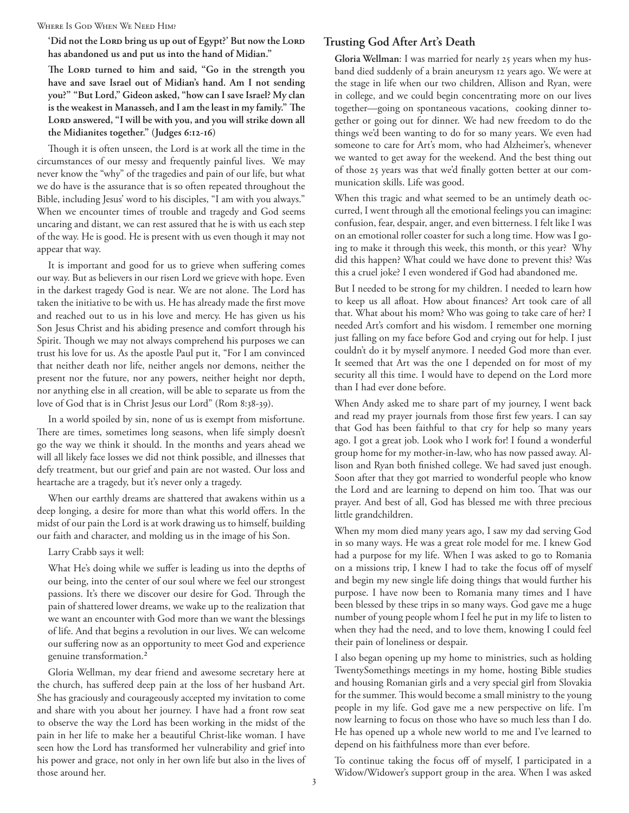WHERE IS GOD WHEN WE NEED HIM?

'Did not the Lorp bring us up out of Egypt?' But now the Lorp **has abandoned us and put us into the hand of Midian."**

The Lord turned to him and said, "Go in the strength you **have and save Israel out of Midian's hand. Am I not sending you?" "But Lord," Gideon asked, "how can I save Israel? My clan is the weakest in Manasseh, and I am the least in my family." The**  LORD answered, "I will be with you, and you will strike down all **the Midianites together." (Judges 6:12-16)**

Though it is often unseen, the Lord is at work all the time in the circumstances of our messy and frequently painful lives. We may never know the "why" of the tragedies and pain of our life, but what we do have is the assurance that is so often repeated throughout the Bible, including Jesus' word to his disciples, "I am with you always." When we encounter times of trouble and tragedy and God seems uncaring and distant, we can rest assured that he is with us each step of the way. He is good. He is present with us even though it may not appear that way.

It is important and good for us to grieve when suffering comes our way. But as believers in our risen Lord we grieve with hope. Even in the darkest tragedy God is near. We are not alone. The Lord has taken the initiative to be with us. He has already made the first move and reached out to us in his love and mercy. He has given us his Son Jesus Christ and his abiding presence and comfort through his Spirit. Though we may not always comprehend his purposes we can trust his love for us. As the apostle Paul put it, "For I am convinced that neither death nor life, neither angels nor demons, neither the present nor the future, nor any powers, neither height nor depth, nor anything else in all creation, will be able to separate us from the love of God that is in Christ Jesus our Lord" (Rom 8:38-39).

In a world spoiled by sin, none of us is exempt from misfortune. There are times, sometimes long seasons, when life simply doesn't go the way we think it should. In the months and years ahead we will all likely face losses we did not think possible, and illnesses that defy treatment, but our grief and pain are not wasted. Our loss and heartache are a tragedy, but it's never only a tragedy.

When our earthly dreams are shattered that awakens within us a deep longing, a desire for more than what this world offers. In the midst of our pain the Lord is at work drawing us to himself, building our faith and character, and molding us in the image of his Son.

Larry Crabb says it well:

What He's doing while we suffer is leading us into the depths of our being, into the center of our soul where we feel our strongest passions. It's there we discover our desire for God. Through the pain of shattered lower dreams, we wake up to the realization that we want an encounter with God more than we want the blessings of life. And that begins a revolution in our lives. We can welcome our suffering now as an opportunity to meet God and experience genuine transformation.2

Gloria Wellman, my dear friend and awesome secretary here at the church, has suffered deep pain at the loss of her husband Art. She has graciously and courageously accepted my invitation to come and share with you about her journey. I have had a front row seat to observe the way the Lord has been working in the midst of the pain in her life to make her a beautiful Christ-like woman. I have seen how the Lord has transformed her vulnerability and grief into his power and grace, not only in her own life but also in the lives of those around her.

## **Trusting God After Art's Death**

**Gloria Wellman**: I was married for nearly 25 years when my husband died suddenly of a brain aneurysm 12 years ago. We were at the stage in life when our two children, Allison and Ryan, were in college, and we could begin concentrating more on our lives together––going on spontaneous vacations, cooking dinner together or going out for dinner. We had new freedom to do the things we'd been wanting to do for so many years. We even had someone to care for Art's mom, who had Alzheimer's, whenever we wanted to get away for the weekend. And the best thing out of those 25 years was that we'd finally gotten better at our communication skills. Life was good.

When this tragic and what seemed to be an untimely death occurred, I went through all the emotional feelings you can imagine: confusion, fear, despair, anger, and even bitterness. I felt like I was on an emotional roller coaster for such a long time. How was I going to make it through this week, this month, or this year? Why did this happen? What could we have done to prevent this? Was this a cruel joke? I even wondered if God had abandoned me.

But I needed to be strong for my children. I needed to learn how to keep us all afloat. How about finances? Art took care of all that. What about his mom? Who was going to take care of her? I needed Art's comfort and his wisdom. I remember one morning just falling on my face before God and crying out for help. I just couldn't do it by myself anymore. I needed God more than ever. It seemed that Art was the one I depended on for most of my security all this time. I would have to depend on the Lord more than I had ever done before.

When Andy asked me to share part of my journey, I went back and read my prayer journals from those first few years. I can say that God has been faithful to that cry for help so many years ago. I got a great job. Look who I work for! I found a wonderful group home for my mother-in-law, who has now passed away. Allison and Ryan both finished college. We had saved just enough. Soon after that they got married to wonderful people who know the Lord and are learning to depend on him too. That was our prayer. And best of all, God has blessed me with three precious little grandchildren.

When my mom died many years ago, I saw my dad serving God in so many ways. He was a great role model for me. I knew God had a purpose for my life. When I was asked to go to Romania on a missions trip, I knew I had to take the focus off of myself and begin my new single life doing things that would further his purpose. I have now been to Romania many times and I have been blessed by these trips in so many ways. God gave me a huge number of young people whom I feel he put in my life to listen to when they had the need, and to love them, knowing I could feel their pain of loneliness or despair.

I also began opening up my home to ministries, such as holding TwentySomethings meetings in my home, hosting Bible studies and housing Romanian girls and a very special girl from Slovakia for the summer. This would become a small ministry to the young people in my life. God gave me a new perspective on life. I'm now learning to focus on those who have so much less than I do. He has opened up a whole new world to me and I've learned to depend on his faithfulness more than ever before.

To continue taking the focus off of myself, I participated in a Widow/Widower's support group in the area. When I was asked